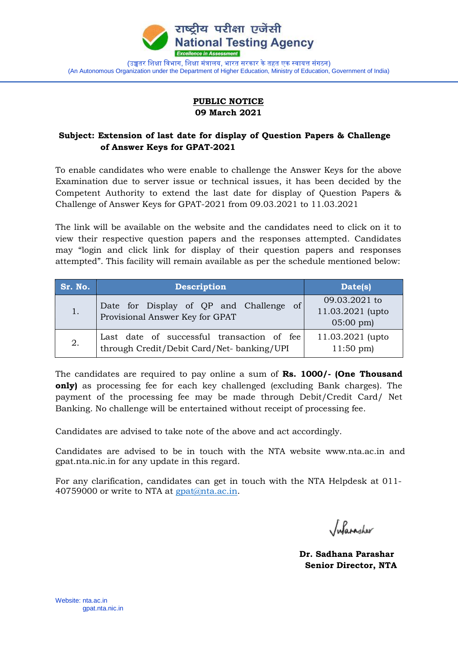

## **PUBLIC NOTICE 09 March 2021**

## **Subject: Extension of last date for display of Question Papers & Challenge of Answer Keys for GPAT-2021**

To enable candidates who were enable to challenge the Answer Keys for the above Examination due to server issue or technical issues, it has been decided by the Competent Authority to extend the last date for display of Question Papers & Challenge of Answer Keys for GPAT-2021 from 09.03.2021 to 11.03.2021

The link will be available on the website and the candidates need to click on it to view their respective question papers and the responses attempted. Candidates may "login and click link for display of their question papers and responses attempted". This facility will remain available as per the schedule mentioned below:

| Sr. No. | <b>Description</b>                                                                      | Date(s)                                                 |
|---------|-----------------------------------------------------------------------------------------|---------------------------------------------------------|
| 1.      | Date for Display of QP and Challenge of<br>Provisional Answer Key for GPAT              | 09.03.2021 to<br>11.03.2021 (upto<br>$05:00 \text{ pm}$ |
| 2.      | Last date of successful transaction of fee<br>through Credit/Debit Card/Net-banking/UPI | 11.03.2021 (upto<br>$11:50 \text{ pm}$                  |

The candidates are required to pay online a sum of **Rs. 1000/- (One Thousand only)** as processing fee for each key challenged (excluding Bank charges). The payment of the processing fee may be made through Debit/Credit Card/ Net Banking. No challenge will be entertained without receipt of processing fee.

Candidates are advised to take note of the above and act accordingly.

Candidates are advised to be in touch with the NTA website www.nta.ac.in and gpat.nta.nic.in for any update in this regard.

For any clarification, candidates can get in touch with the NTA Helpdesk at 011- 40759000 or write to NTA at gpat@nta.ac.in.

Inforagher

 **Dr. Sadhana Parashar Senior Director, NTA**

Website: nta.ac.in gpat.nta.nic.in